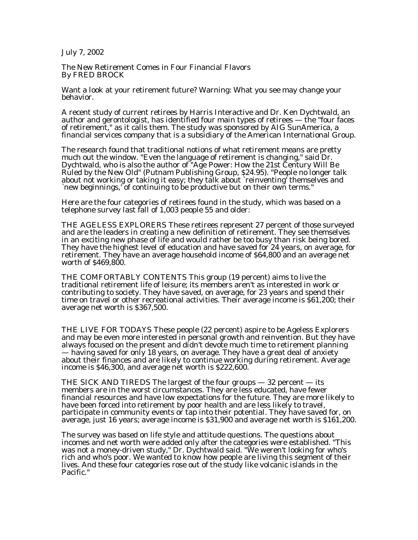July 7, 2002

The New Retirement Comes in Four Financial Flavors By FRED BROCK

Want a look at your retirement future? Warning: What you see may change your behavior.

A recent study of current retirees by Harris Interactive and Dr. Ken Dychtwald, an author and gerontologist, has identified four main types of retirees  $-$  the "four faces of retirement," as it calls them. The study was sponsored by AIG SunAmerica, a financial services company that is a subsidiary of the American International Group.

The research found that traditional notions of what retirement means are pretty much out the window. "Even the language of retirement is changing," said Dr. Dychtwald, who is also the author of "Age Power: How the 21st Century Will Be Ruled by the New Old" (Putnam Publishing Group, \$24.95). "People no longer talk about not working or taking it easy; they talk about `reinventing' themselves and `new beginnings,' of continuing to be productive but on their own terms."

Here are the four categories of retirees found in the study, which was based on a telephone survey last fall of 1,003 people 55 and older:

THE AGELESS EXPLORERS These retirees represent 27 percent of those surveyed and are the leaders in creating a new definition of retirement. They see themselves in an exciting new phase of life and would rather be too busy than risk being bored. They have the highest level of education and have saved for 24 years, on average, for retirement. They have an average household income of \$64,800 and an average net worth of \$469,800.

THE COMFORTABLY CONTENTS This group (19 percent) aims to live the traditional retirement life of leisure; its members aren't as interested in work or contributing to society. They have saved, on average, for 23 years and spend their time on travel or other recreational activities. Their average income is \$61,200; their average net worth is \$367,500.

THE LIVE FOR TODAYS These people (22 percent) aspire to be Ageless Explorers and may be even more interested in personal growth and reinvention. But they have always focused on the present and didn't devote much time to retirement planning — having saved for only 18 years, on average. They have a great deal of anxiety about their finances and are likely to continue working during retirement. Average income is \$46,300, and average net worth is \$222,600.

THE SICK AND TIREDS The largest of the four groups  $-32$  percent  $-$  its members are in the worst circumstances. They are less educated, have fewer financial resources and have low expectations for the future. They are more likely to have been forced into retirement by poor health and are less likely to travel, participate in community events or tap into their potential. They have saved for, on average, just 16 years; average income is \$31,900 and average net worth is \$161,200.

The survey was based on life style and attitude questions. The questions about incomes and net worth were added only after the categories were established. "This was not a money-driven study," Dr. Dychtwald said. "We weren't looking for who's rich and who's poor. We wanted to know how people are living this segment of their lives. And these four categories rose out of the study like volcanic islands in the Pacific."